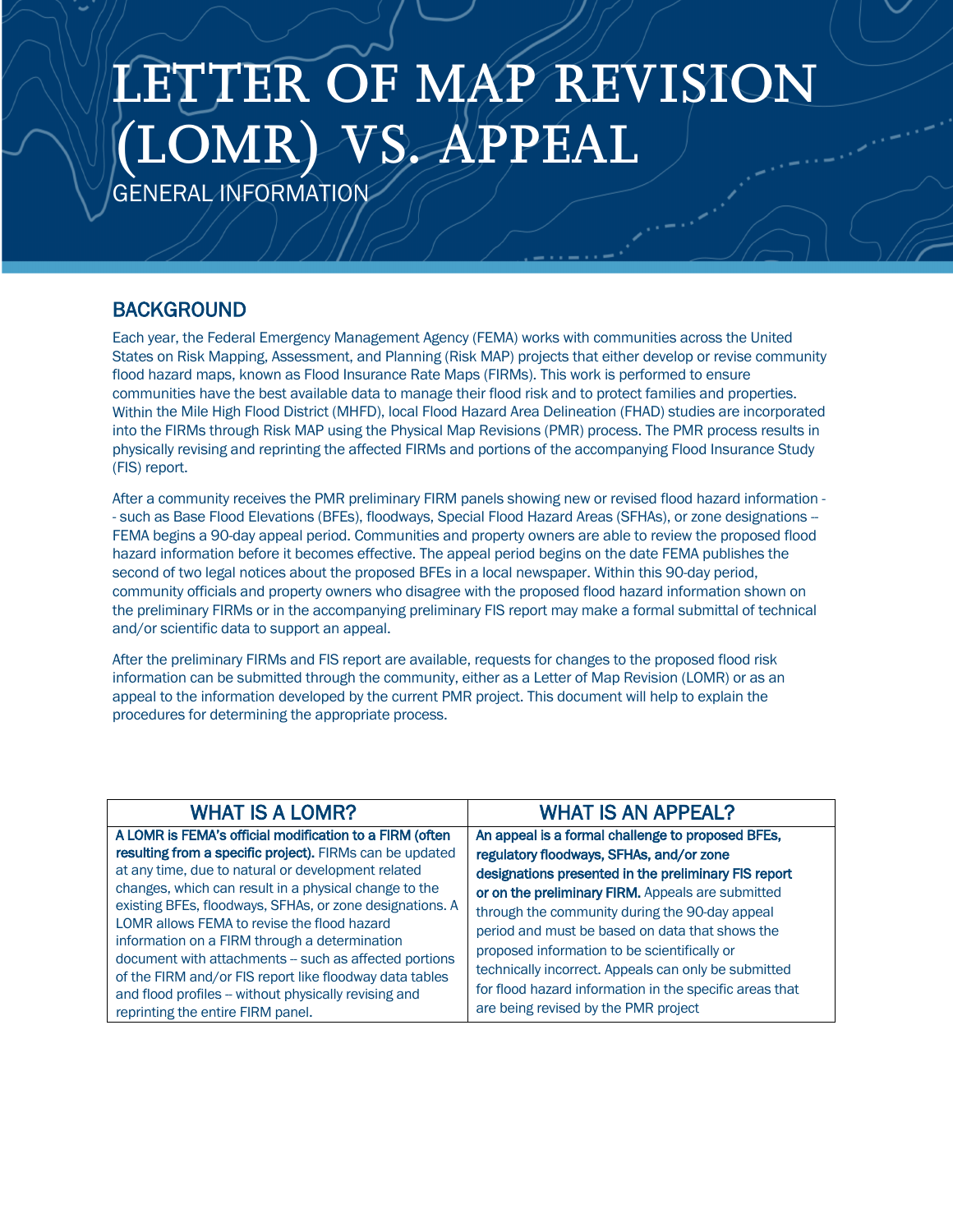## **LETTER OF MAP REVISION (LOMR) VS. APPEAL**

GENERAL INFORMATION

## **BACKGROUND**

Each year, the Federal Emergency Management Agency (FEMA) works with communities across the United States on Risk Mapping, Assessment, and Planning (Risk MAP) projects that either develop or revise community flood hazard maps, known as Flood Insurance Rate Maps (FIRMs). This work is performed to ensure communities have the best available data to manage their flood risk and to protect families and properties. Within the Mile High Flood District (MHFD), local Flood Hazard Area Delineation (FHAD) studies are incorporated into the FIRMs through Risk MAP using the Physical Map Revisions (PMR) process. The PMR process results in physically revising and reprinting the affected FIRMs and portions of the accompanying Flood Insurance Study (FIS) report.

After a community receives the PMR preliminary FIRM panels showing new or revised flood hazard information - - such as Base Flood Elevations (BFEs), floodways, Special Flood Hazard Areas (SFHAs), or zone designations -- FEMA begins a 90-day appeal period. Communities and property owners are able to review the proposed flood hazard information before it becomes effective. The appeal period begins on the date FEMA publishes the second of two legal notices about the proposed BFEs in a local newspaper. Within this 90-day period, community officials and property owners who disagree with the proposed flood hazard information shown on the preliminary FIRMs or in the accompanying preliminary FIS report may make a formal submittal of technical and/or scientific data to support an appeal.

After the preliminary FIRMs and FIS report are available, requests for changes to the proposed flood risk information can be submitted through the community, either as a Letter of Map Revision (LOMR) or as an appeal to the information developed by the current PMR project. This document will help to explain the procedures for determining the appropriate process.

| <b>WHAT IS A LOMR?</b>                                                                                                                                                                                                                                                                                                                                                                                                                                                                                                                                                                                           | <b>WHAT IS AN APPEAL?</b>                                                                                                                                                                                                                                                                                                                                                                                                                                                                                                  |
|------------------------------------------------------------------------------------------------------------------------------------------------------------------------------------------------------------------------------------------------------------------------------------------------------------------------------------------------------------------------------------------------------------------------------------------------------------------------------------------------------------------------------------------------------------------------------------------------------------------|----------------------------------------------------------------------------------------------------------------------------------------------------------------------------------------------------------------------------------------------------------------------------------------------------------------------------------------------------------------------------------------------------------------------------------------------------------------------------------------------------------------------------|
| A LOMR is FEMA's official modification to a FIRM (often<br>resulting from a specific project). FIRMs can be updated<br>at any time, due to natural or development related<br>changes, which can result in a physical change to the<br>existing BFEs, floodways, SFHAs, or zone designations. A<br>LOMR allows FEMA to revise the flood hazard<br>information on a FIRM through a determination<br>document with attachments -- such as affected portions<br>of the FIRM and/or FIS report like floodway data tables<br>and flood profiles - without physically revising and<br>reprinting the entire FIRM panel. | An appeal is a formal challenge to proposed BFEs,<br>regulatory floodways, SFHAs, and/or zone<br>designations presented in the preliminary FIS report<br>or on the preliminary FIRM. Appeals are submitted<br>through the community during the 90-day appeal<br>period and must be based on data that shows the<br>proposed information to be scientifically or<br>technically incorrect. Appeals can only be submitted<br>for flood hazard information in the specific areas that<br>are being revised by the PMR project |